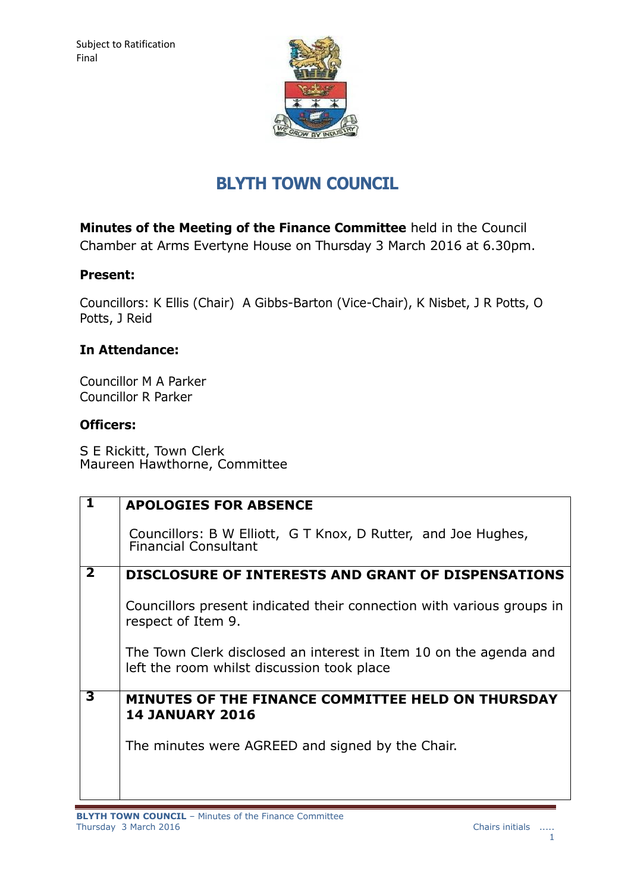

# **BLYTH TOWN COUNCIL**

**Minutes of the Meeting of the Finance Committee** held in the Council Chamber at Arms Evertyne House on Thursday 3 March 2016 at 6.30pm.

# **Present:**

Councillors: K Ellis (Chair) A Gibbs-Barton (Vice-Chair), K Nisbet, J R Potts, O Potts, J Reid

# **In Attendance:**

Councillor M A Parker Councillor R Parker

### **Officers:**

S E Rickitt, Town Clerk Maureen Hawthorne, Committee

| $\mathbf 1$             | <b>APOLOGIES FOR ABSENCE</b>                                                                                    |
|-------------------------|-----------------------------------------------------------------------------------------------------------------|
|                         | Councillors: B W Elliott, G T Knox, D Rutter, and Joe Hughes,<br><b>Financial Consultant</b>                    |
| $\overline{\mathbf{2}}$ | <b>DISCLOSURE OF INTERESTS AND GRANT OF DISPENSATIONS</b>                                                       |
|                         | Councillors present indicated their connection with various groups in<br>respect of Item 9.                     |
|                         | The Town Clerk disclosed an interest in Item 10 on the agenda and<br>left the room whilst discussion took place |
| 3                       | MINUTES OF THE FINANCE COMMITTEE HELD ON THURSDAY<br><b>14 JANUARY 2016</b>                                     |
|                         | The minutes were AGREED and signed by the Chair.                                                                |
|                         |                                                                                                                 |
|                         |                                                                                                                 |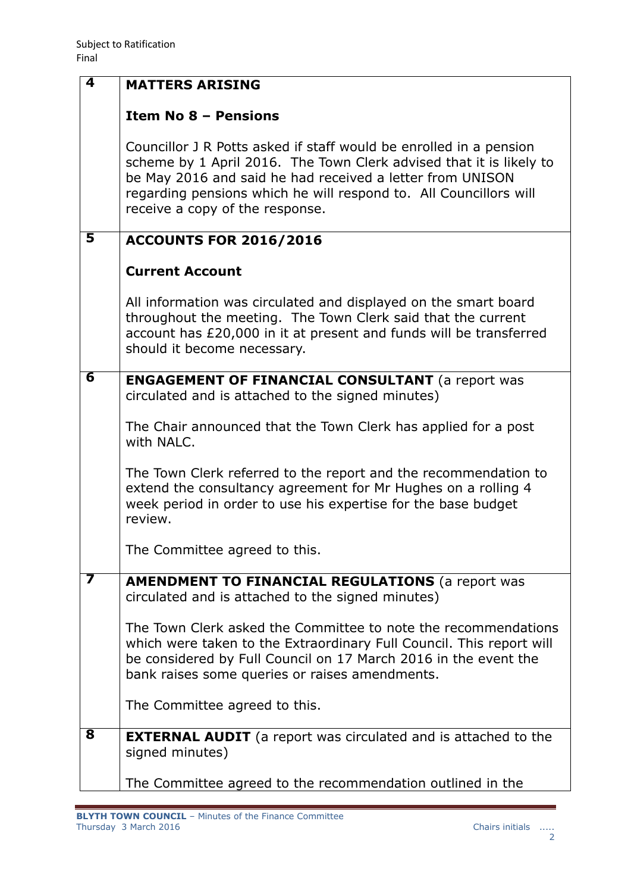| 4                       | <b>MATTERS ARISING</b>                                                                                                                                                                                                                                                                                         |
|-------------------------|----------------------------------------------------------------------------------------------------------------------------------------------------------------------------------------------------------------------------------------------------------------------------------------------------------------|
|                         | <b>Item No 8 - Pensions</b>                                                                                                                                                                                                                                                                                    |
|                         | Councillor J R Potts asked if staff would be enrolled in a pension<br>scheme by 1 April 2016. The Town Clerk advised that it is likely to<br>be May 2016 and said he had received a letter from UNISON<br>regarding pensions which he will respond to. All Councillors will<br>receive a copy of the response. |
| 5                       | <b>ACCOUNTS FOR 2016/2016</b>                                                                                                                                                                                                                                                                                  |
|                         | <b>Current Account</b>                                                                                                                                                                                                                                                                                         |
|                         | All information was circulated and displayed on the smart board<br>throughout the meeting. The Town Clerk said that the current<br>account has £20,000 in it at present and funds will be transferred<br>should it become necessary.                                                                           |
| $\overline{\mathbf{6}}$ | <b>ENGAGEMENT OF FINANCIAL CONSULTANT</b> (a report was<br>circulated and is attached to the signed minutes)                                                                                                                                                                                                   |
|                         | The Chair announced that the Town Clerk has applied for a post<br>with NALC.                                                                                                                                                                                                                                   |
|                         | The Town Clerk referred to the report and the recommendation to<br>extend the consultancy agreement for Mr Hughes on a rolling 4<br>week period in order to use his expertise for the base budget<br>review.                                                                                                   |
|                         | The Committee agreed to this.                                                                                                                                                                                                                                                                                  |
| 7                       | <b>AMENDMENT TO FINANCIAL REGULATIONS (a report was</b><br>circulated and is attached to the signed minutes)                                                                                                                                                                                                   |
|                         | The Town Clerk asked the Committee to note the recommendations<br>which were taken to the Extraordinary Full Council. This report will<br>be considered by Full Council on 17 March 2016 in the event the<br>bank raises some queries or raises amendments.                                                    |
|                         | The Committee agreed to this.                                                                                                                                                                                                                                                                                  |
| $\overline{\mathbf{8}}$ | <b>EXTERNAL AUDIT</b> (a report was circulated and is attached to the<br>signed minutes)                                                                                                                                                                                                                       |
|                         | The Committee agreed to the recommendation outlined in the                                                                                                                                                                                                                                                     |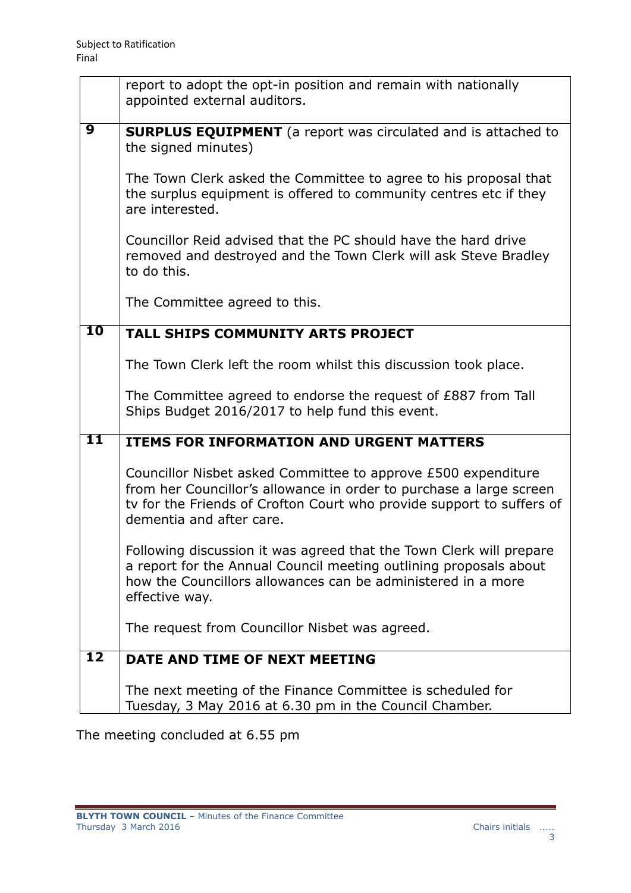|                          | report to adopt the opt-in position and remain with nationally<br>appointed external auditors.                                                                                                                                            |
|--------------------------|-------------------------------------------------------------------------------------------------------------------------------------------------------------------------------------------------------------------------------------------|
| $\overline{9}$           | <b>SURPLUS EQUIPMENT</b> (a report was circulated and is attached to<br>the signed minutes)                                                                                                                                               |
|                          | The Town Clerk asked the Committee to agree to his proposal that<br>the surplus equipment is offered to community centres etc if they<br>are interested.                                                                                  |
|                          | Councillor Reid advised that the PC should have the hard drive<br>removed and destroyed and the Town Clerk will ask Steve Bradley<br>to do this.                                                                                          |
|                          | The Committee agreed to this.                                                                                                                                                                                                             |
| 10                       | <b>TALL SHIPS COMMUNITY ARTS PROJECT</b>                                                                                                                                                                                                  |
|                          | The Town Clerk left the room whilst this discussion took place.                                                                                                                                                                           |
|                          | The Committee agreed to endorse the request of £887 from Tall<br>Ships Budget 2016/2017 to help fund this event.                                                                                                                          |
| $\overline{11}$          | <b>ITEMS FOR INFORMATION AND URGENT MATTERS</b>                                                                                                                                                                                           |
|                          | Councillor Nisbet asked Committee to approve £500 expenditure<br>from her Councillor's allowance in order to purchase a large screen<br>ty for the Friends of Crofton Court who provide support to suffers of<br>dementia and after care. |
|                          | Following discussion it was agreed that the Town Clerk will prepare<br>a report for the Annual Council meeting outlining proposals about<br>how the Councillors allowances can be administered in a more<br>effective way.                |
|                          | The request from Councillor Nisbet was agreed.                                                                                                                                                                                            |
| $\overline{\mathbf{12}}$ | DATE AND TIME OF NEXT MEETING                                                                                                                                                                                                             |
|                          | The next meeting of the Finance Committee is scheduled for<br>Tuesday, 3 May 2016 at 6.30 pm in the Council Chamber.                                                                                                                      |

The meeting concluded at 6.55 pm